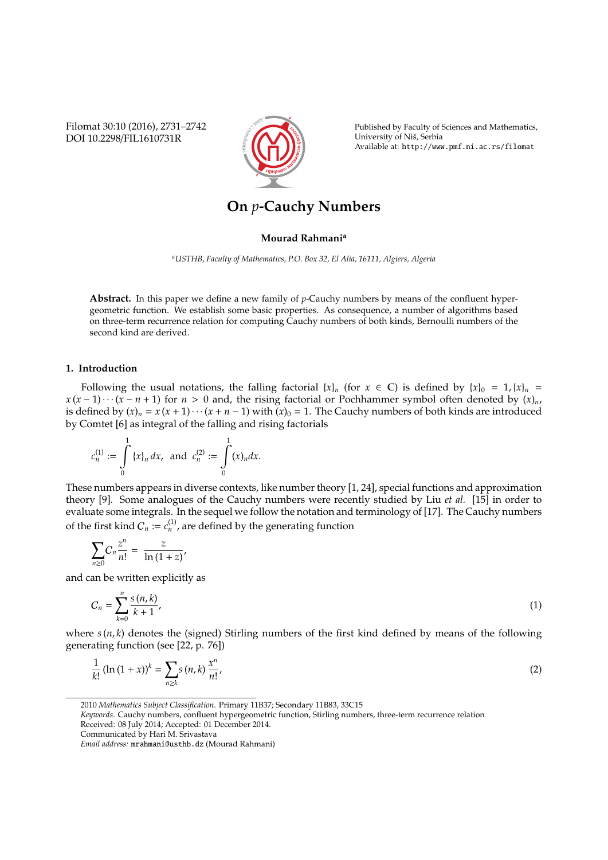Filomat 30:10 (2016), 2731–2742 DOI 10.2298/FIL1610731R



Published by Faculty of Sciences and Mathematics, University of Niš, Serbia Available at: http://www.pmf.ni.ac.rs/filomat

# **On** *p***-Cauchy Numbers**

### **Mourad Rahmani<sup>a</sup>**

*<sup>a</sup>USTHB, Faculty of Mathematics, P.O. Box 32, El Alia, 16111, Algiers, Algeria*

**Abstract.** In this paper we define a new family of *p*-Cauchy numbers by means of the confluent hypergeometric function. We establish some basic properties. As consequence, a number of algorithms based on three-term recurrence relation for computing Cauchy numbers of both kinds, Bernoulli numbers of the second kind are derived.

## **1. Introduction**

Following the usual notations, the falling factorial  $\{x\}_n$  (for  $x \in \mathbb{C}$ ) is defined by  $\{x\}_0 = 1, \{x\}_n =$  $x(x-1)\cdots(x-n+1)$  for  $n>0$  and, the rising factorial or Pochhammer symbol often denoted by  $(x)<sub>n</sub>$ , is defined by  $(x)_n = x(x + 1) \cdots (x + n - 1)$  with  $(x)_0 = 1$ . The Cauchy numbers of both kinds are introduced by Comtet [6] as integral of the falling and rising factorials

$$
c_n^{(1)} := \int_0^1 \{x\}_n dx, \text{ and } c_n^{(2)} := \int_0^1 (x)_n dx.
$$

These numbers appears in diverse contexts, like number theory [1, 24], special functions and approximation theory [9]. Some analogues of the Cauchy numbers were recently studied by Liu *et al.* [15] in order to evaluate some integrals. In the sequel we follow the notation and terminology of [17]. The Cauchy numbers of the first kind  $C_n := c_n^{(1)}$ , are defined by the generating function

$$
\sum_{n\geq 0}C_n\frac{z^n}{n!}=\frac{z}{\ln\left(1+z\right)},
$$

and can be written explicitly as

$$
C_n = \sum_{k=0}^n \frac{s(n,k)}{k+1},
$$
 (1)

where  $s(n, k)$  denotes the (signed) Stirling numbers of the first kind defined by means of the following generating function (see [22, p. 76])

$$
\frac{1}{k!} (\ln (1+x))^k = \sum_{n \ge k} s(n,k) \frac{x^n}{n!},
$$
 (2)

<sup>2010</sup> *Mathematics Subject Classification*. Primary 11B37; Secondary 11B83, 33C15

*Keywords*. Cauchy numbers, confluent hypergeometric function, Stirling numbers, three-term recurrence relation Received: 08 July 2014; Accepted: 01 December 2014.

Communicated by Hari M. Srivastava

*Email address:* mrahmani@usthb.dz (Mourad Rahmani)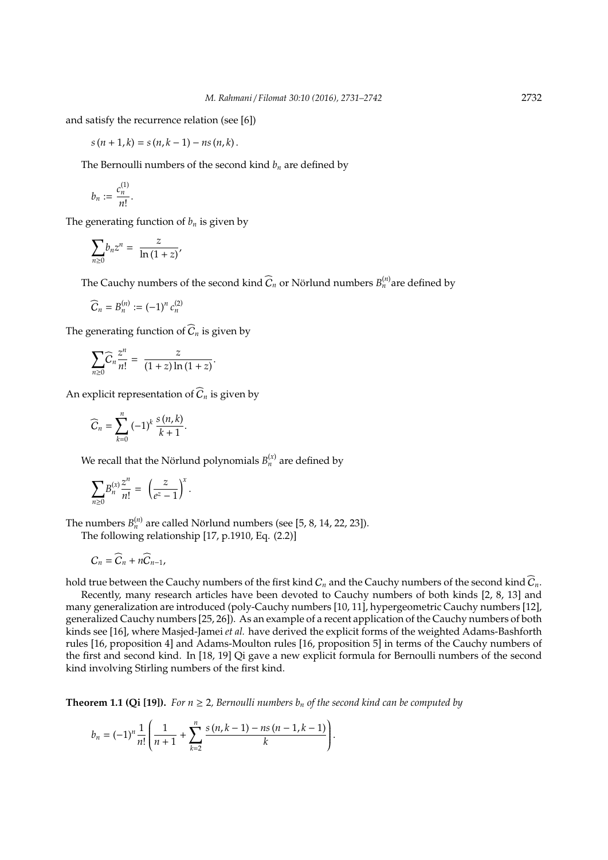and satisfy the recurrence relation (see [6])

$$
s(n + 1, k) = s(n, k - 1) - ns(n, k).
$$

The Bernoulli numbers of the second kind  $b_n$  are defined by

$$
b_n:=\frac{c_n^{(1)}}{n!}.
$$

The generating function of  $b_n$  is given by

$$
\sum_{n\geq 0}b_nz^n=\;\frac{z}{\ln{(1+z)}}\text{,}
$$

The Cauchy numbers of the second kind  $\widehat{C}_n$  or Nörlund numbers  $B_n^{(n)}$  are defined by

$$
\widehat{C}_n = B_n^{(n)} := (-1)^n c_n^{(2)}
$$

The generating function of  $\widehat{C}_n$  is given by

$$
\sum_{n\geq 0} \widehat{C}_n \frac{z^n}{n!} = \frac{z}{(1+z)\ln(1+z)}.
$$

An explicit representation of  $\widehat{C}_n$  is given by

$$
\widehat{C}_n = \sum_{k=0}^n (-1)^k \frac{s(n,k)}{k+1}.
$$

We recall that the Nörlund polynomials  $B_n^{(x)}$  are defined by

$$
\sum_{n\geq 0} B_n^{(x)} \frac{z^n}{n!} = \left(\frac{z}{e^z-1}\right)^x.
$$

The numbers  $B_n^{(n)}$  are called Nörlund numbers (see [5, 8, 14, 22, 23]).

The following relationship [17, p.1910, Eq. (2.2)]

$$
C_n = \widehat{C}_n + n\widehat{C}_{n-1},
$$

hold true between the Cauchy numbers of the first kind  $C_n$  and the Cauchy numbers of the second kind  $\hat{C}_n$ .

Recently, many research articles have been devoted to Cauchy numbers of both kinds [2, 8, 13] and many generalization are introduced (poly-Cauchy numbers [10, 11], hypergeometric Cauchy numbers [12], generalized Cauchy numbers [25, 26]). As an example of a recent application of the Cauchy numbers of both kinds see [16], where Masjed-Jamei *et al.* have derived the explicit forms of the weighted Adams-Bashforth rules [16, proposition 4] and Adams-Moulton rules [16, proposition 5] in terms of the Cauchy numbers of the first and second kind. In [18, 19] Qi gave a new explicit formula for Bernoulli numbers of the second kind involving Stirling numbers of the first kind.

**Theorem 1.1 (Qi [19]).** For  $n \geq 2$ , Bernoulli numbers  $b_n$  of the second kind can be computed by

$$
b_n = (-1)^n \frac{1}{n!} \left( \frac{1}{n+1} + \sum_{k=2}^n \frac{s(n,k-1) - ns(n-1,k-1)}{k} \right).
$$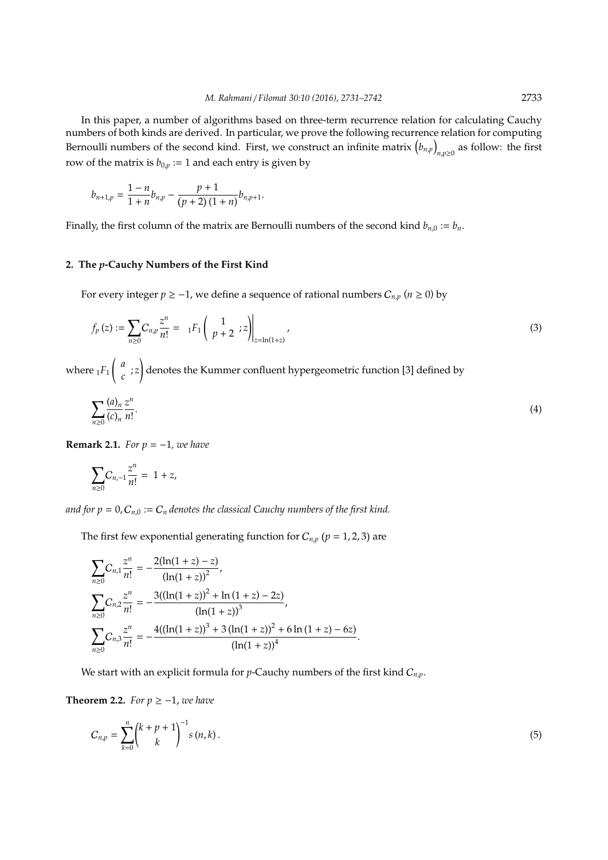In this paper, a number of algorithms based on three-term recurrence relation for calculating Cauchy numbers of both kinds are derived. In particular, we prove the following recurrence relation for computing Bernoulli numbers of the second kind. First, we construct an infinite matrix  $(b_{n,p})$ *n*,*p*≥0 as follow: the first row of the matrix is  $b_{0,p} := 1$  and each entry is given by

$$
b_{n+1,p} = \frac{1-n}{1+n}b_{n,p} - \frac{p+1}{(p+2)(1+n)}b_{n,p+1}.
$$

Finally, the first column of the matrix are Bernoulli numbers of the second kind  $b_{n,0} := b_n$ .

## **2. The** *p***-Cauchy Numbers of the First Kind**

For every integer *p* ≥ −1, we define a sequence of rational numbers  $C_{n,p}$  (*n* ≥ 0) by

$$
f_p(z) := \sum_{n\geq 0} C_{n,p} \frac{z^n}{n!} = \left| {}_1F_1 \left( \begin{array}{c} 1 \\ p+2 \end{array} ; z \right) \right|_{z=\ln(1+z)},
$$
\n(3)

where  $_1F_1$  *a*  $\int_{c}^{b}$  ; z ! denotes the Kummer confluent hypergeometric function [3] defined by

$$
\sum_{n\geq 0} \frac{(a)_n}{(c)_n} \frac{z^n}{n!}.
$$
 (4)

**Remark 2.1.** *For*  $p = -1$ *, we have* 

$$
\sum_{n\geq 0} C_{n,-1} \frac{z^n}{n!} = 1 + z,
$$

*and for*  $p = 0$ *,*  $C_{n,0} := C_n$  *denotes the classical Cauchy numbers of the first kind.* 

The first few exponential generating function for  $C_{n,p}$  ( $p = 1, 2, 3$ ) are

$$
\sum_{n\geq 0} C_{n,1} \frac{z^n}{n!} = -\frac{2(\ln(1+z)-z)}{(\ln(1+z))^2},
$$
\n
$$
\sum_{n\geq 0} C_{n,2} \frac{z^n}{n!} = -\frac{3((\ln(1+z))^2 + \ln(1+z)-2z)}{(\ln(1+z))^3},
$$
\n
$$
\sum_{n\geq 0} C_{n,3} \frac{z^n}{n!} = -\frac{4((\ln(1+z))^3 + 3(\ln(1+z))^2 + 6\ln(1+z)-6z)}{(\ln(1+z))^4}.
$$

We start with an explicit formula for *p*-Cauchy numbers of the first kind  $C_{n,p}$ .

**Theorem 2.2.** *For*  $p \ge -1$ *, we have* 

$$
C_{n,p} = \sum_{k=0}^{n} {k+p+1 \choose k}^{-1} s(n,k).
$$
 (5)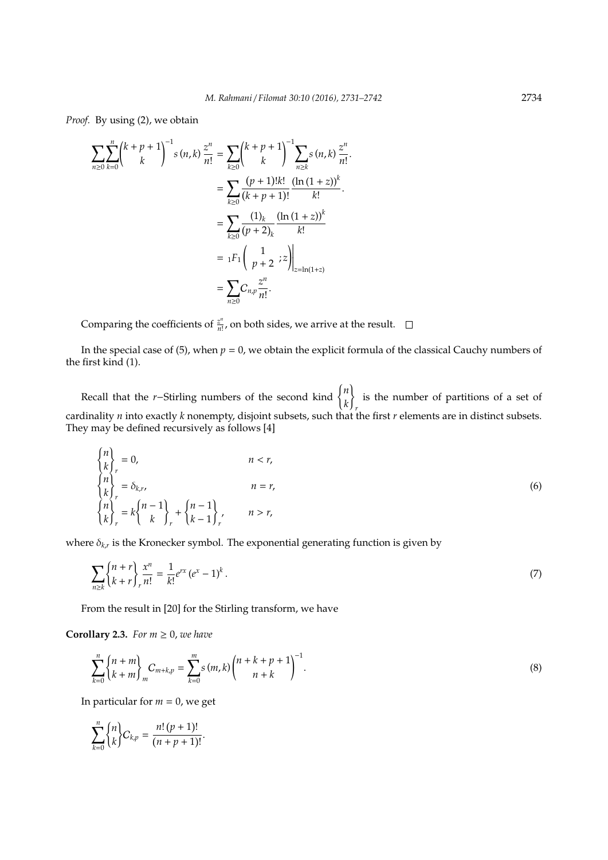*Proof.* By using (2), we obtain

$$
\sum_{n\geq 0} \sum_{k=0}^{n} {k+p+1 \choose k}^{-1} s(n,k) \frac{z^n}{n!} = \sum_{k\geq 0} {k+p+1 \choose k}^{-1} \sum_{n\geq k} s(n,k) \frac{z^n}{n!} \n= \sum_{k\geq 0} \frac{(p+1)!k!}{(k+p+1)!} \frac{(\ln(1+z))^k}{k!} \n= \sum_{k\geq 0} \frac{(1)_k}{(p+2)_k} \frac{(\ln(1+z))^k}{k!} \n= {}_1F_1 \left(\begin{array}{ccc} 1 & 1 \ p+2 & i \end{array} z \right) \Big|_{z=\ln(1+z)} \n= \sum_{n\geq 0} C_{n,p} \frac{z^n}{n!}.
$$

Comparing the coefficients of  $\frac{z^n}{n!}$  $\frac{z^{n}}{n!}$ , on both sides, we arrive at the result.

In the special case of (5), when  $p = 0$ , we obtain the explicit formula of the classical Cauchy numbers of the first kind (1).

Recall that the *<sup>r</sup>*−Stirling numbers of the second kind ( *n k* ) *r* is the number of partitions of a set of cardinality *n* into exactly *k* nonempty, disjoint subsets, such that the first *r* elements are in distinct subsets. They may be defined recursively as follows [4]

$$
\begin{cases}\nn \\
k\n\end{cases},\n= 0,\n\qquad n < r,\n\begin{cases}\nn \\
n\n\end{cases},\n\qquad n = r,\n\begin{cases}\nn \\
k\n\end{cases},\n= k\begin{cases}\nn - 1 \\
k\n\end{cases},\n\qquad n = r,\n\end{cases}\n\qquad (6)
$$

where δ*k*,*<sup>r</sup>* is the Kronecker symbol. The exponential generating function is given by

$$
\sum_{n\geq k} \binom{n+r}{k+r} \frac{x^n}{n!} = \frac{1}{k!} e^{rx} (e^x - 1)^k.
$$
\n(7)

From the result in [20] for the Stirling transform, we have

.

**Corollary 2.3.** *For*  $m \geq 0$ *, we have* 

$$
\sum_{k=0}^{n} \binom{n+m}{k+m} C_{m+k,p} = \sum_{k=0}^{m} s(m,k) \binom{n+k+p+1}{n+k}^{-1}.
$$
 (8)

In particular for  $m = 0$ , we get

$$
\sum_{k=0}^{n} {n \brace k} C_{k,p} = \frac{n! (p+1)!}{(n+p+1)!}
$$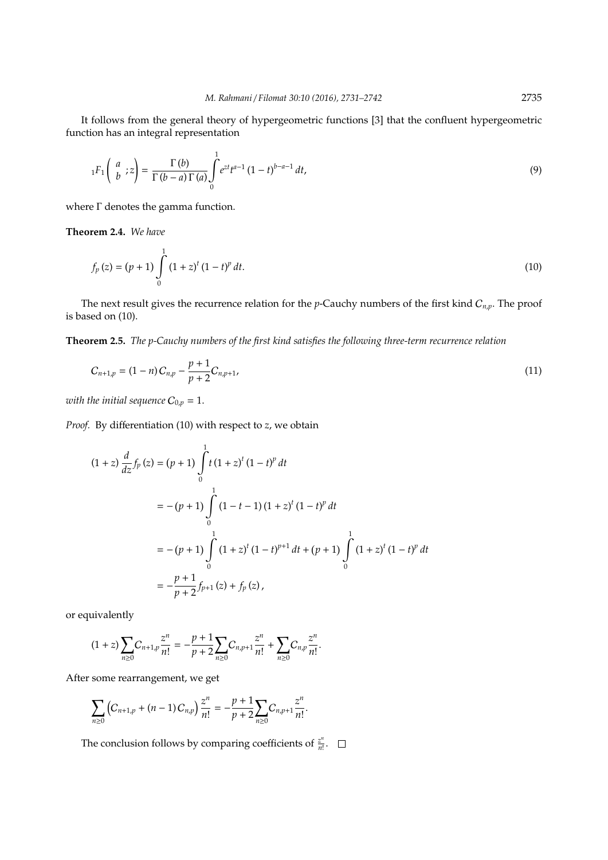It follows from the general theory of hypergeometric functions [3] that the confluent hypergeometric function has an integral representation

$$
{}_{1}F_{1}\left(\begin{array}{c} a \\ b \end{array}; z\right) = \frac{\Gamma(b)}{\Gamma(b-a)\Gamma(a)} \int_{0}^{1} e^{zt} t^{a-1} (1-t)^{b-a-1} dt,
$$
\n(9)

where Γ denotes the gamma function.

**Theorem 2.4.** *We have*

$$
f_p(z) = (p+1) \int_0^1 (1+z)^t (1-t)^p dt.
$$
 (10)

The next result gives the recurrence relation for the *p*-Cauchy numbers of the first kind  $C_{n,p}$ . The proof is based on (10).

**Theorem 2.5.** *The p-Cauchy numbers of the first kind satisfies the following three-term recurrence relation*

$$
C_{n+1,p} = (1-n)C_{n,p} - \frac{p+1}{p+2}C_{n,p+1},
$$
\n(11)

*with the initial sequence*  $C_{0,p} = 1$ .

*Proof.* By differentiation (10) with respect to *z*, we obtain

$$
(1 + z) \frac{d}{dz} f_p(z) = (p + 1) \int_0^1 t (1 + z)^t (1 - t)^p dt
$$
  
=  $-(p + 1) \int_0^1 (1 - t - 1) (1 + z)^t (1 - t)^p dt$   
=  $-(p + 1) \int_0^1 (1 + z)^t (1 - t)^{p+1} dt + (p + 1) \int_0^1 (1 + z)^t (1 - t)^p dt$   
=  $-\frac{p + 1}{p + 2} f_{p+1}(z) + f_p(z),$ 

or equivalently

$$
(1+z)\sum_{n\geq 0}C_{n+1,p}\frac{z^n}{n!}=-\frac{p+1}{p+2}\sum_{n\geq 0}C_{n,p+1}\frac{z^n}{n!}+\sum_{n\geq 0}C_{n,p}\frac{z^n}{n!}.
$$

After some rearrangement, we get

$$
\sum_{n\geq 0} \left( C_{n+1,p} + (n-1) C_{n,p} \right) \frac{z^n}{n!} = -\frac{p+1}{p+2} \sum_{n\geq 0} C_{n,p+1} \frac{z^n}{n!}.
$$

The conclusion follows by comparing coefficients of  $\frac{z^n}{n!}$  $\frac{z^n}{n!}$ .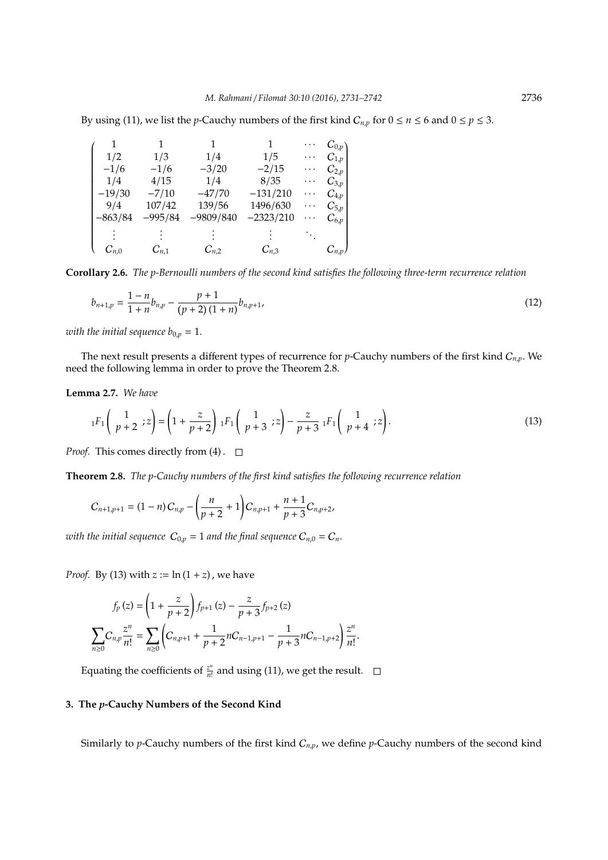By using (11), we list the *p*-Cauchy numbers of the first kind  $C_{n,p}$  for  $0 \le n \le 6$  and  $0 \le p \le 3$ .

| 1         |           |             | 1           | .        | $C_{0,p}$   |
|-----------|-----------|-------------|-------------|----------|-------------|
| 1/2       | 1/3       | 1/4         | 1/5         | .        | $C_{1,p}$   |
| $-1/6$    | $-1/6$    | $-3/20$     | $-2/15$     | .        | $C_{2,p}$   |
| 1/4       | 4/15      | 1/4         | 8/35        | .        | $C_{3,p}$   |
| $-19/30$  | $-7/10$   | $-47/70$    | $-131/210$  | .        | $C_{4,p}$   |
| 9/4       | 107/42    | 139/56      | 1496/630    | .        | $C_{5,p}$   |
| $-863/84$ | $-995/84$ | $-9809/840$ | $-2323/210$ | $\cdots$ | $C_{6,p}$   |
|           |           |             |             |          |             |
|           |           |             |             |          |             |
| $C_{n,0}$ | $C_{n,1}$ | $C_{n,2}$   | $C_{n,3}$   |          | $C_{n,p}$ ) |

**Corollary 2.6.** *The p-Bernoulli numbers of the second kind satisfies the following three-term recurrence relation*

$$
b_{n+1,p} = \frac{1-n}{1+n}b_{n,p} - \frac{p+1}{(p+2)(1+n)}b_{n,p+1},
$$
\n(12)

*with the initial sequence*  $b_{0,p} = 1$ .

The next result presents a different types of recurrence for *p*-Cauchy numbers of the first kind C*n*,*p*. We need the following lemma in order to prove the Theorem 2.8.

**Lemma 2.7.** *We have*

$$
{}_{1}F_{1}\left(\begin{array}{c}1\\p+2\end{array};z\right)=\left(1+\frac{z}{p+2}\right){}_{1}F_{1}\left(\begin{array}{c}1\\p+3\end{array};z\right)-\frac{z}{p+3}\ {}_{1}F_{1}\left(\begin{array}{c}1\\p+4\end{array};z\right).
$$
 (13)

*Proof.* This comes directly from  $(4)$ .  $\square$ 

**Theorem 2.8.** *The p-Cauchy numbers of the first kind satisfies the following recurrence relation*

$$
C_{n+1,p+1} = (1-n)C_{n,p} - \left(\frac{n}{p+2} + 1\right)C_{n,p+1} + \frac{n+1}{p+3}C_{n,p+2},
$$

*with the initial sequence*  $C_{0,p} = 1$  *and the final sequence*  $C_{n,0} = C_n$ .

*Proof.* By (13) with  $z := \ln(1 + z)$ , we have

$$
f_p(z) = \left(1 + \frac{z}{p+2}\right) f_{p+1}(z) - \frac{z}{p+3} f_{p+2}(z)
$$

$$
\sum_{n\geq 0} C_{n,p} \frac{z^n}{n!} = \sum_{n\geq 0} \left(C_{n,p+1} + \frac{1}{p+2} n C_{n-1,p+1} - \frac{1}{p+3} n C_{n-1,p+2}\right) \frac{z^n}{n!}.
$$

Equating the coefficients of  $\frac{z^n}{n!}$  $\frac{z^n}{n!}$  and using (11), we get the result.

# **3. The** *p***-Cauchy Numbers of the Second Kind**

Similarly to *p*-Cauchy numbers of the first kind C*n*,*p*, we define *p*-Cauchy numbers of the second kind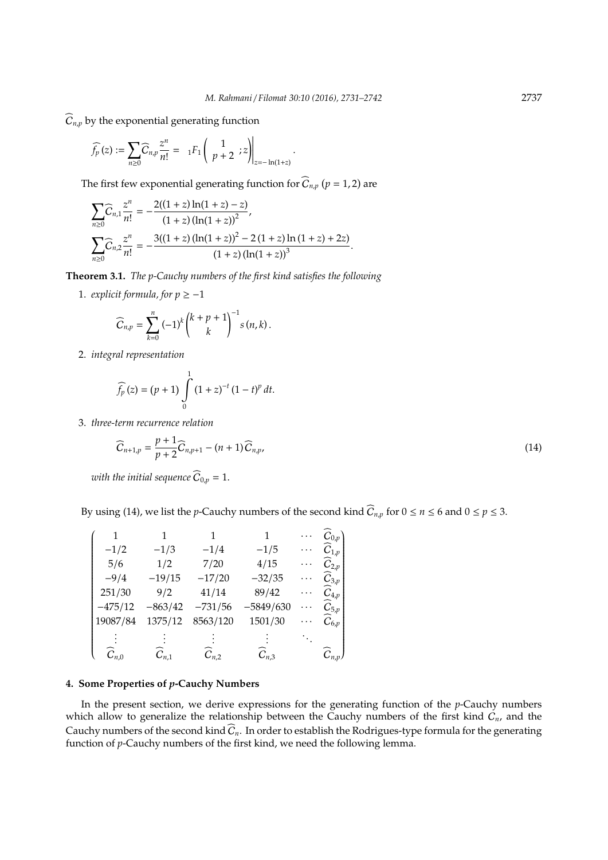$\widehat{C}_{n,p}$  by the exponential generating function

$$
\widehat{f_p}(z) := \sum_{n \geq 0} \widehat{C}_{n,p} \frac{z^n}{n!} = 1_{1}F_1 \left( \frac{1}{p+2} ; z \right) \Big|_{z=-\ln(1+z)}.
$$

The first few exponential generating function for  $\widehat{C}_{n,p}$   $(p = 1, 2)$  are

$$
\sum_{n\geq 0} \widehat{C}_{n,1} \frac{z^n}{n!} = -\frac{2((1+z)\ln(1+z)-z)}{(1+z)(\ln(1+z))^2},
$$
  

$$
\sum_{n\geq 0} \widehat{C}_{n,2} \frac{z^n}{n!} = -\frac{3((1+z)(\ln(1+z))^2 - 2(1+z)\ln(1+z) + 2z)}{(1+z)(\ln(1+z))^3}.
$$

**Theorem 3.1.** *The p-Cauchy numbers of the first kind satisfies the following*

1. *explicit formula, for*  $p \ge -1$ 

$$
\widehat{C}_{n,p} = \sum_{k=0}^{n} (-1)^k {k+p+1 \choose k}^{-1} s(n,k).
$$

2. *integral representation*

$$
\widehat{f_p}(z) = (p+1) \int_0^1 (1+z)^{-t} (1-t)^p dt.
$$

3. *three-term recurrence relation*

$$
\widehat{C}_{n+1,p} = \frac{p+1}{p+2} \widehat{C}_{n,p+1} - (n+1) \widehat{C}_{n,p},
$$
\n(14)

*with the initial sequence*  $\widehat{C}_{0,p} = 1$ .

By using (14), we list the *p*-Cauchy numbers of the second kind  $\widehat{C}_{n,p}$  for  $0 \le n \le 6$  and  $0 \le p \le 3$ .

|                     |           |           | 1           |   | $C_{0,p}$                     |
|---------------------|-----------|-----------|-------------|---|-------------------------------|
| $-1/2$              | $-1/3$    | $-1/4$    | $-1/5$      | . | $C_{1,p}$                     |
| 5/6                 | 1/2       | 7/20      | 4/15        |   | $C_{2,p}$                     |
| $-9/4$              | $-19/15$  | $-17/20$  | $-32/35$    |   | $C_{3,p}$                     |
| 251/30              | 9/2       | 41/14     | 89/42       |   | $C_{4,p}$                     |
| $-475/12$           | $-863/42$ | $-731/56$ | $-5849/630$ |   | $C_{5,p}$                     |
| 19087/84            | 1375/12   | 8563/120  | 1501/30     |   | $\widehat{\mathcal{C}}_{6,p}$ |
|                     |           |           |             |   |                               |
| $\widehat{C}_{n.0}$ | $C_{n,1}$ | $C_{n,2}$ | $C_{n,3}$   |   | $\widehat{C}_{n,p}$ )         |

## **4. Some Properties of** *p***-Cauchy Numbers**

In the present section, we derive expressions for the generating function of the *p*-Cauchy numbers which allow to generalize the relationship between the Cauchy numbers of the first kind C*n*, and the Cauchy numbers of the second kind  $\widehat{C}_n$ . In order to establish the Rodrigues-type formula for the generating function of *p*-Cauchy numbers of the first kind, we need the following lemma.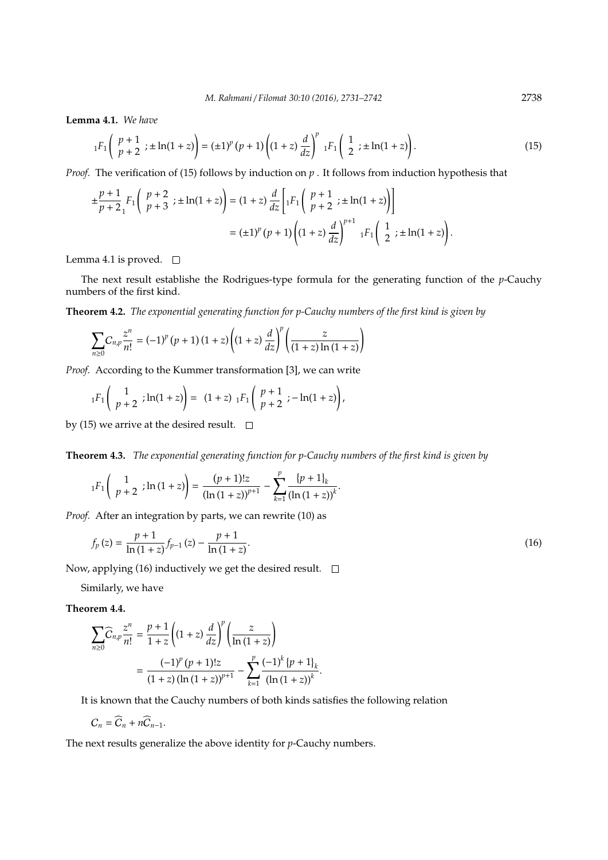**Lemma 4.1.** *We have*

$$
{}_1F_1\left(\begin{array}{c} p+1 \\ p+2 \end{array}; \pm \ln(1+z)\right) = (\pm 1)^p (p+1) \left((1+z)\frac{d}{dz}\right)^p {}_1F_1\left(\begin{array}{c} 1 \\ 2 \end{array}; \pm \ln(1+z)\right). \tag{15}
$$

*Proof.* The verification of (15) follows by induction on  $p$ . It follows from induction hypothesis that

$$
\pm \frac{p+1}{p+2} F_1 \left( \begin{array}{c} p+2 \\ p+3 \end{array} ; \pm \ln(1+z) \right) = (1+z) \frac{d}{dz} \left[ {}_1F_1 \left( \begin{array}{c} p+1 \\ p+2 \end{array} ; \pm \ln(1+z) \right) \right]
$$

$$
= (\pm 1)^p (p+1) \left( (1+z) \frac{d}{dz} \right)^{p+1} {}_1F_1 \left( \begin{array}{c} 1 \\ 2 \end{array} ; \pm \ln(1+z) \right).
$$

Lemma 4.1 is proved.  $\square$ 

The next result establishe the Rodrigues-type formula for the generating function of the *p*-Cauchy numbers of the first kind.

**Theorem 4.2.** *The exponential generating function for p-Cauchy numbers of the first kind is given by*

$$
\sum_{n\geq 0} C_{n,p} \frac{z^n}{n!} = (-1)^p (p+1) (1+z) \left( (1+z) \frac{d}{dz} \right)^p \left( \frac{z}{(1+z) \ln(1+z)} \right)
$$

*Proof.* According to the Kummer transformation [3], we can write

$$
{}_1F_1\left(\begin{array}{c}1\\p+2\end{array};\ln(1+z)\right)=\ (1+z)\ {}_1F_1\left(\begin{array}{c}p+1\\p+2\end{array};-\ln(1+z)\right),
$$

by (15) we arrive at the desired result.  $\square$ 

**Theorem 4.3.** *The exponential generating function for p-Cauchy numbers of the first kind is given by*

$$
{}_1F_1\left(\begin{array}{c}1\\p+2\end{array};\ln\left(1+z\right)\right)=\frac{(p+1)!z}{\left(\ln\left(1+z\right)\right)^{p+1}}-\sum_{k=1}^p\frac{\left\{p+1\right\}_k}{\left(\ln\left(1+z\right)\right)^k}.
$$

*Proof.* After an integration by parts, we can rewrite (10) as

$$
f_p(z) = \frac{p+1}{\ln(1+z)} f_{p-1}(z) - \frac{p+1}{\ln(1+z)}.
$$
 (16)

Now, applying (16) inductively we get the desired result.  $\square$ 

Similarly, we have

**Theorem 4.4.**

$$
\sum_{n\geq 0} \widehat{C}_{n,p} \frac{z^n}{n!} = \frac{p+1}{1+z} \left( (1+z) \frac{d}{dz} \right)^p \left( \frac{z}{\ln(1+z)} \right)
$$
  
= 
$$
\frac{(-1)^p (p+1)! z}{(1+z) (\ln(1+z))^{p+1}} - \sum_{k=1}^p \frac{(-1)^k (p+1)_k}{(\ln(1+z))^{k}}.
$$

It is known that the Cauchy numbers of both kinds satisfies the following relation

$$
C_n = \widehat{C}_n + n\widehat{C}_{n-1}.
$$

The next results generalize the above identity for *p*-Cauchy numbers.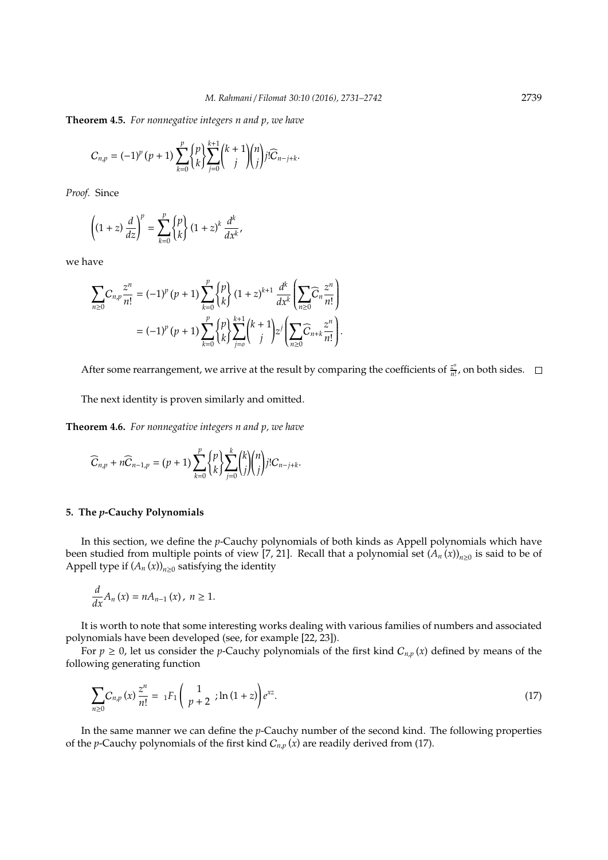**Theorem 4.5.** *For nonnegative integers n and p, we have*

$$
C_{n,p}=(-1)^p\,(p+1)\sum_{k=0}^p\binom{p}{k}\sum_{j=0}^{k+1}\binom{k+1}{j}\binom{n}{j}j!\widetilde{C}_{n-j+k}.
$$

*Proof.* Since

$$
\left((1+z)\frac{d}{dz}\right)^p = \sum_{k=0}^p \begin{Bmatrix} p \\ k \end{Bmatrix} (1+z)^k \frac{d^k}{dx^k},
$$

we have

$$
\sum_{n\geq 0} C_{n,p} \frac{z^n}{n!} = (-1)^p (p+1) \sum_{k=0}^p {p \choose k} (1+z)^{k+1} \frac{d^k}{dx^k} \left( \sum_{n\geq 0} \widehat{C}_n \frac{z^n}{n!} \right)
$$
  
=  $(-1)^p (p+1) \sum_{k=0}^p {p \choose k} \sum_{j=0}^{k+1} {k+1 \choose j} z^j \left( \sum_{n\geq 0} \widehat{C}_{n+k} \frac{z^n}{n!} \right).$ 

After some rearrangement, we arrive at the result by comparing the coefficients of  $\frac{z^n}{n!}$  $\frac{Z^{n}}{n!}$ , on both sides.

The next identity is proven similarly and omitted.

**Theorem 4.6.** *For nonnegative integers n and p, we have*

$$
\widehat{C}_{n,p} + n\widehat{C}_{n-1,p} = (p+1)\sum_{k=0}^{p} {p \choose k} \sum_{j=0}^{k} {k \choose j} {n \choose j} j! C_{n-j+k}.
$$

#### **5. The** *p***-Cauchy Polynomials**

In this section, we define the *p*-Cauchy polynomials of both kinds as Appell polynomials which have been studied from multiple points of view [7, 21]. Recall that a polynomial set  $(A_n(x))_{n\geq 0}$  is said to be of Appell type if  $(A_n(x))_{n\geq 0}$  satisfying the identity

$$
\frac{d}{dx}A_n(x)=nA_{n-1}(x), n\geq 1.
$$

It is worth to note that some interesting works dealing with various families of numbers and associated polynomials have been developed (see, for example [22, 23]).

For  $p \ge 0$ , let us consider the *p*-Cauchy polynomials of the first kind  $C_{n,p}(x)$  defined by means of the following generating function

$$
\sum_{n\geq 0} C_{n,p}(x) \frac{z^n}{n!} = \; _1F_1\left(\begin{array}{c} 1\\ p+2 \end{array} \right) \ln\left(1+z\right) e^{xz}.\tag{17}
$$

In the same manner we can define the *p*-Cauchy number of the second kind. The following properties of the *p*-Cauchy polynomials of the first kind  $C_{n,p}(x)$  are readily derived from (17).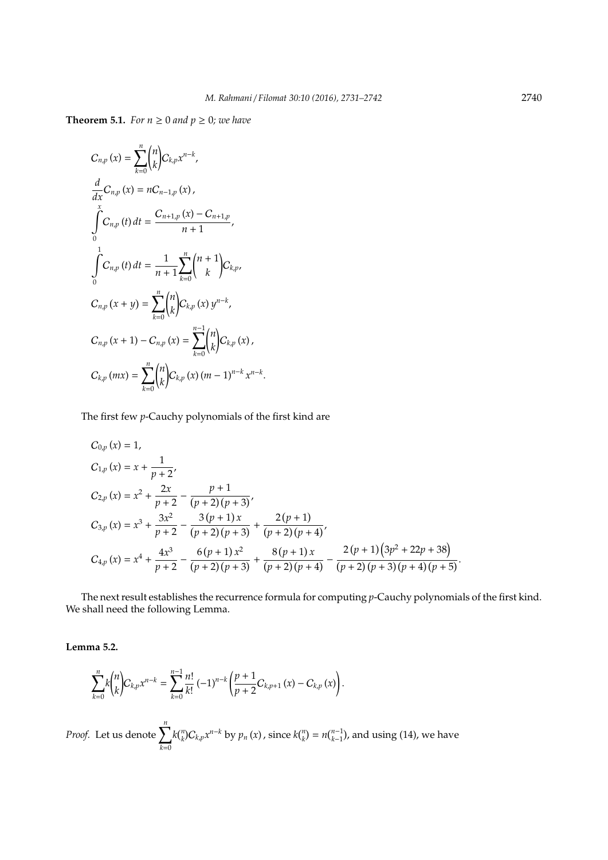**Theorem 5.1.** *For*  $n \ge 0$  *and*  $p \ge 0$ *; we have* 

$$
C_{n,p}(x) = \sum_{k=0}^{n} {n \choose k} C_{k,p} x^{n-k},
$$
  
\n
$$
\frac{d}{dx} C_{n,p}(x) = n C_{n-1,p}(x),
$$
  
\n
$$
\int_{0}^{x} C_{n,p}(t) dt = \frac{C_{n+1,p}(x) - C_{n+1,p}}{n+1},
$$
  
\n
$$
\int_{0}^{1} C_{n,p}(t) dt = \frac{1}{n+1} \sum_{k=0}^{n} {n+1 \choose k} C_{k,p},
$$
  
\n
$$
C_{n,p}(x+y) = \sum_{k=0}^{n} {n \choose k} C_{k,p}(x) y^{n-k},
$$
  
\n
$$
C_{n,p}(x+1) - C_{n,p}(x) = \sum_{k=0}^{n-1} {n \choose k} C_{k,p}(x),
$$
  
\n
$$
C_{k,p}(mx) = \sum_{k=0}^{n} {n \choose k} C_{k,p}(x) (m-1)^{n-k} x^{n-k}.
$$

The first few *p*-Cauchy polynomials of the first kind are

$$
C_{0,p}(x) = 1,
$$
  
\n
$$
C_{1,p}(x) = x + \frac{1}{p+2},
$$
  
\n
$$
C_{2,p}(x) = x^2 + \frac{2x}{p+2} - \frac{p+1}{(p+2)(p+3)},
$$
  
\n
$$
C_{3,p}(x) = x^3 + \frac{3x^2}{p+2} - \frac{3(p+1)x}{(p+2)(p+3)} + \frac{2(p+1)}{(p+2)(p+4)},
$$
  
\n
$$
C_{4,p}(x) = x^4 + \frac{4x^3}{p+2} - \frac{6(p+1)x^2}{(p+2)(p+3)} + \frac{8(p+1)x}{(p+2)(p+4)} - \frac{2(p+1)(3p^2 + 22p + 38)}{(p+2)(p+3)(p+4)(p+5)}.
$$

The next result establishes the recurrence formula for computing *p*-Cauchy polynomials of the first kind. We shall need the following Lemma.

**Lemma 5.2.**

$$
\sum_{k=0}^{n} k {n \choose k} C_{k,p} x^{n-k} = \sum_{k=0}^{n-1} \frac{n!}{k!} (-1)^{n-k} \left( \frac{p+1}{p+2} C_{k,p+1} (x) - C_{k,p} (x) \right).
$$

*Proof.* Let us denote  $\sum_{n=1}^{n}$ *k*=0  $k{n \choose k} C_{k,p} x^{n-k}$  by  $p_n(x)$ , since  $k{n \choose k} = n{n-1 \choose k-1}$ , and using (14), we have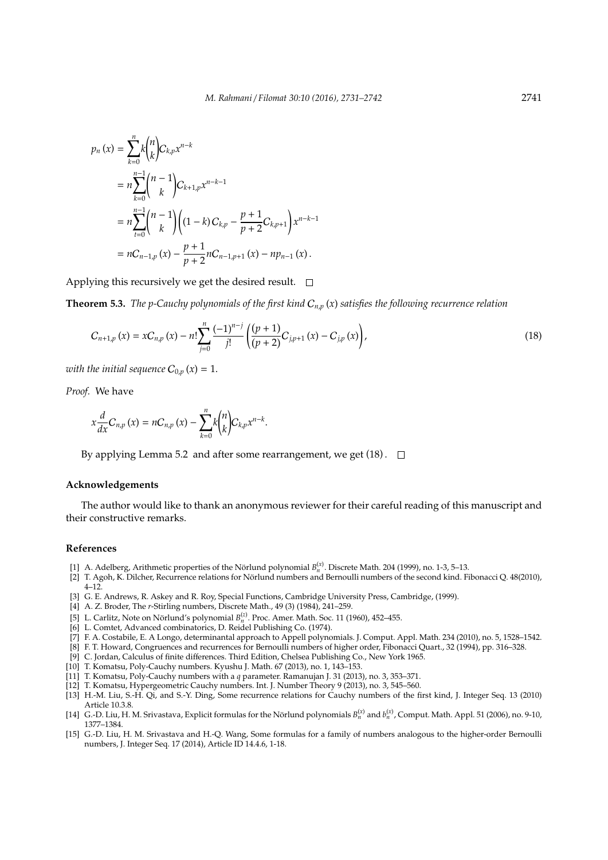$$
p_n(x) = \sum_{k=0}^{n} k {n \choose k} C_{k,p} x^{n-k}
$$
  
=  $n \sum_{k=0}^{n-1} {n-1 \choose k} C_{k+1,p} x^{n-k-1}$   
=  $n \sum_{t=0}^{n-1} {n-1 \choose k} (1-k) C_{k,p} - \frac{p+1}{p+2} C_{k,p+1} x^{n-k-1}$   
=  $nC_{n-1,p}(x) - \frac{p+1}{p+2} nC_{n-1,p+1}(x) - np_{n-1}(x).$ 

Applying this recursively we get the desired result.  $\square$ 

**Theorem 5.3.** *The p-Cauchy polynomials of the first kind* C*n*,*<sup>p</sup>* (*x*) *satisfies the following recurrence relation*

$$
C_{n+1,p}(x) = xC_{n,p}(x) - n! \sum_{j=0}^{n} \frac{(-1)^{n-j}}{j!} \left( \frac{(p+1)}{(p+2)} C_{j,p+1}(x) - C_{j,p}(x) \right),
$$
\n(18)

*with the initial sequence*  $C_{0,p}(x) = 1$ .

*Proof.* We have

$$
x\frac{d}{dx}C_{n,p}\left(x\right)=nC_{n,p}\left(x\right)-\sum_{k=0}^{n}k\binom{n}{k}C_{k,p}x^{n-k}
$$

By applying Lemma 5.2 and after some rearrangement, we get  $(18)$ .  $\Box$ 

#### **Acknowledgements**

The author would like to thank an anonymous reviewer for their careful reading of this manuscript and their constructive remarks.

#### **References**

[1] A. Adelberg, Arithmetic properties of the Nörlund polynomial  $B_n^{(x)}$ . Discrete Math. 204 (1999), no. 1-3, 5–13.

.

- [2] T. Agoh, K. Dilcher, Recurrence relations for Nörlund numbers and Bernoulli numbers of the second kind. Fibonacci Q. 48(2010), 4–12.
- [3] G. E. Andrews, R. Askey and R. Roy, Special Functions, Cambridge University Press, Cambridge, (1999).
- [4] A. Z. Broder, The *r*-Stirling numbers, Discrete Math., 49 (3) (1984), 241–259.
- [5] L. Carlitz, Note on Nörlund's polynomial  $B_n^{(z)}$ . Proc. Amer. Math. Soc. 11 (1960), 452–455.
- [6] L. Comtet, Advanced combinatorics, D. Reidel Publishing Co. (1974).
- [7] F. A. Costabile, E. A Longo, determinantal approach to Appell polynomials. J. Comput. Appl. Math. 234 (2010), no. 5, 1528–1542.
- [8] F. T. Howard, Congruences and recurrences for Bernoulli numbers of higher order, Fibonacci Quart., 32 (1994), pp. 316–328.
- [9] C. Jordan, Calculus of finite differences. Third Edition, Chelsea Publishing Co., New York 1965.
- [10] T. Komatsu, Poly-Cauchy numbers. Kyushu J. Math. 67 (2013), no. 1, 143–153.
- [11] T. Komatsu, Poly-Cauchy numbers with a *q* parameter. Ramanujan J. 31 (2013), no. 3, 353–371.
- [12] T. Komatsu, Hypergeometric Cauchy numbers. Int. J. Number Theory 9 (2013), no. 3, 545–560.
- [13] H.-M. Liu, S.-H. Qi, and S.-Y. Ding, Some recurrence relations for Cauchy numbers of the first kind, J. Integer Seq. 13 (2010) Article 10.3.8.
- [14] G.-D. Liu, H. M. Srivastava, Explicit formulas for the Nörlund polynomials  $B_n^{(x)}$  and  $b_n^{(x)}$ , Comput. Math. Appl. 51 (2006), no. 9-10, 1377–1384.
- [15] G.-D. Liu, H. M. Srivastava and H.-Q. Wang, Some formulas for a family of numbers analogous to the higher-order Bernoulli numbers, J. Integer Seq. 17 (2014), Article ID 14.4.6, 1-18.